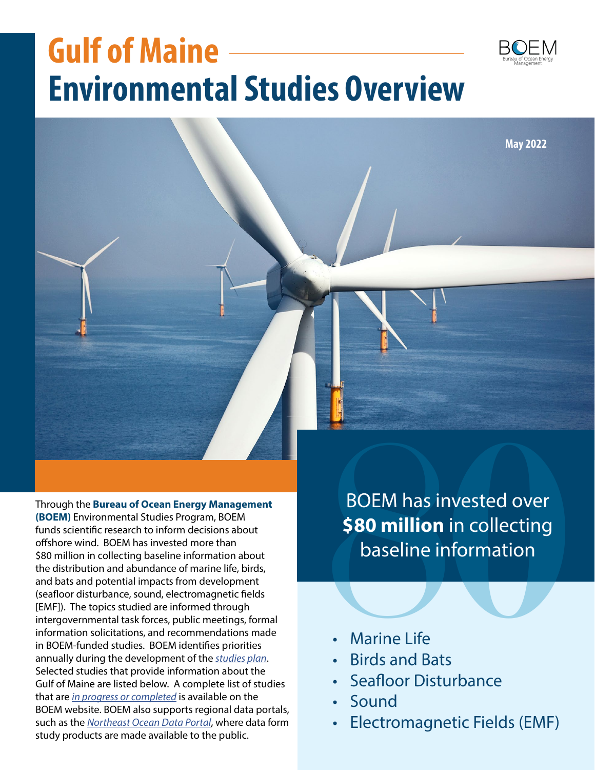# **Gulf of Maine Environmental Studies Overview**



Through the **Bureau of Ocean Energy Management (BOEM)** Environmental Studies Program, BOEM funds scientific research to inform decisions about offshore wind. BOEM has invested more than \$80 million in collecting baseline information about the distribution and abundance of marine life, birds, and bats and potential impacts from development (seafloor disturbance, sound, electromagnetic fields [EMF]). The topics studied are informed through intergovernmental task forces, public meetings, formal information solicitations, and recommendations made in BOEM-funded studies. BOEM identifies priorities annually during the development of the *[studies plan](https://www.boem.gov/environment/environmental-studies/environmental-studies-planning)*. Selected studies that provide information about the Gulf of Maine are listed below. A complete list of studies that are *[in progress or completed](https://www.boem.gov/environment/environmental-studies/renewable-energy-research)* is available on the BOEM website. BOEM also supports regional data portals, such as the *[Northeast Ocean Data Portal](https://www.northeastoceandata.org/)*, where data form study products are made available to the public.

BOEM has invested over **\$80 million** in collecting BOEM has invested over<br> **\$80 million** in collecting<br>
baseline information<br>
Marine Life<br>
Birds and Bats baseline information

- **Marine Life**
- Birds and Bats
- Seafloor Disturbance
- Sound
- Electromagnetic Fields (EMF)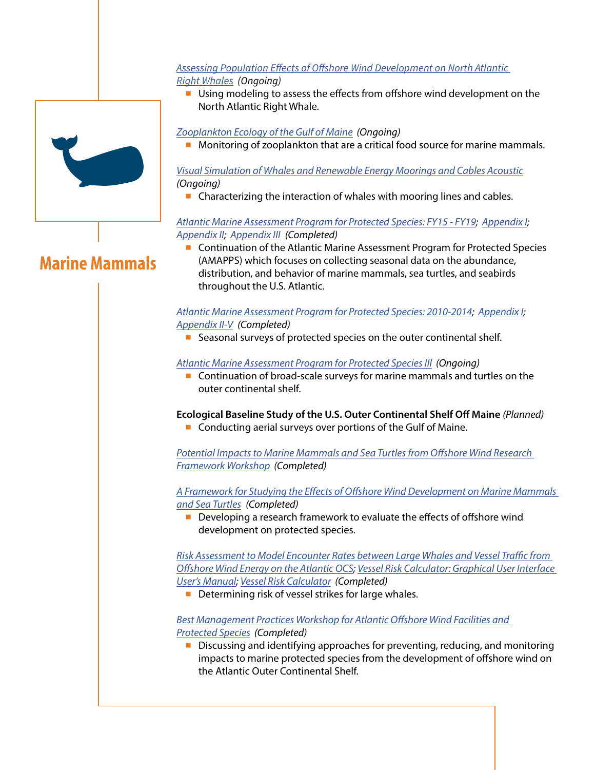#### *[Assessing Population Effects of Offshore Wind Development on North Atlantic](https://www.boem.gov/sites/default/files/documents/renewable-energy/state-activities/Assessing%20Population%20Effects%20of%20Offshore%20Wind%20Development%20on%20North%20Atlantic%20Right%20Whales.pdf)  [Right Whales](https://www.boem.gov/sites/default/files/documents/renewable-energy/state-activities/Assessing%20Population%20Effects%20of%20Offshore%20Wind%20Development%20on%20North%20Atlantic%20Right%20Whales.pdf) (Ongoing)*

■ Using modeling to assess the effects from offshore wind development on the North Atlantic Right Whale.

# *[Zooplankton Ecology of the Gulf of Maine](https://www.boem.gov/sites/default/files/documents/environment/environmental-studies/AT-18-x01.pdf) (Ongoing)*

■ Monitoring of zooplankton that are a critical food source for marine mammals.

## *[Visual Simulation of Whales and Renewable Energy Moorings and Cables Acoustic](https://www.boem.gov/sites/default/files/environmental-stewardship/Environmental-Studies/Pacific-Region/Studies/PR-17-WHL.pdf) (Ongoing)*

■ Characterizing the interaction of whales with mooring lines and cables.

## *[Atlantic Marine Assessment Program for Protected Species: FY15 - FY19;](https://espis.boem.gov/Final%20reports/BOEM_2021-051.pdf) [Appendix I;](https://espis.boem.gov/Final%20reports/BOEM_2021-051_I.pdf) [Appendix II;](https://espis.boem.gov/Final%20reports/BOEM_2021-051_II.pdf) [Appendix III](https://espis.boem.gov/Final%20reports/BOEM_2021-051_III.pdf) (Completed)*

■ Continuation of the Atlantic Marine Assessment Program for Protected Species (AMAPPS) which focuses on collecting seasonal data on the abundance, distribution, and behavior of marine mammals, sea turtles, and seabirds throughout the U.S. Atlantic.

# *[Atlantic Marine Assessment Program for Protected Species: 2010-2014](https://espis.boem.gov/final%20reports/5638.pdf); [Appendix I;](https://espis.boem.gov/final%20reports/5639.pdf) [Appendix II-V](https://espis.boem.gov/final%20reports/5640.pdf) (Completed)*

■ Seasonal surveys of protected species on the outer continental shelf.

# *[Atlantic Marine Assessment Program for Protected Species III](https://www.boem.gov/sites/default/files/documents/environment/environmental-studies/Atlantic%20Marine%20Assessment%20Program%20for%20Protected%20Species%20III.pdf) (Ongoing)*

■ Continuation of broad-scale surveys for marine mammals and turtles on the outer continental shelf.

**Ecological Baseline Study of the U.S. Outer Continental Shelf Off Maine** *(Planned)* ■ Conducting aerial surveys over portions of the Gulf of Maine.

*[Potential Impacts to Marine Mammals and Sea Turtles from Offshore Wind Research](https://www.boem.gov/sites/default/files/environmental-stewardship/Environmental-Studies/Renewable-Energy/Potential-Impacts-to-Marine-Mammals-and-Sea-Turtles-from-Offshore-Wind.pdf)  [Framework Workshop](https://www.boem.gov/sites/default/files/environmental-stewardship/Environmental-Studies/Renewable-Energy/Potential-Impacts-to-Marine-Mammals-and-Sea-Turtles-from-Offshore-Wind.pdf) (Completed)*

*[A Framework for Studying the Effects of Offshore Wind Development on Marine Mammals](https://www.boem.gov/sites/default/files/environmental-stewardship/Environmental-Studies/Renewable-Energy/A-Framework-for-Studying-the-Effects.pdf)  [and Sea Turtles](https://www.boem.gov/sites/default/files/environmental-stewardship/Environmental-Studies/Renewable-Energy/A-Framework-for-Studying-the-Effects.pdf) (Completed)*

■ Developing a research framework to evaluate the effects of offshore wind development on protected species.

*[Risk Assessment to Model Encounter Rates between Large Whales and Vessel Traffic from](https://espis.boem.gov/final%20reports/BOEM_2021-034.pdf)  [Offshore Wind Energy on the Atlantic OCS;](https://espis.boem.gov/final%20reports/BOEM_2021-034.pdf) [Vessel Risk Calculator: Graphical User Interface](https://espis.boem.gov/final%20reports/BOEM_2021-035.pdf)  [User's Manual](https://espis.boem.gov/final%20reports/BOEM_2021-035.pdf); [Vessel Risk Calculator](https://www.boem.gov/environment/vessel-risk-calculator-16-setup-105-ocs2021-035) (Completed)*

■ Determining risk of vessel strikes for large whales.

# *[Best Management Practices Workshop for Atlantic Offshore Wind Facilities and](https://www.boem.gov/renewable-energy/best-management-practices-workshop-atlantic-offshore-wind-facilities-and-marine)  [Protected Species](https://www.boem.gov/renewable-energy/best-management-practices-workshop-atlantic-offshore-wind-facilities-and-marine) (Completed)*

■ Discussing and identifying approaches for preventing, reducing, and monitoring impacts to marine protected species from the development of offshore wind on the Atlantic Outer Continental Shelf.



# **Marine Mammals**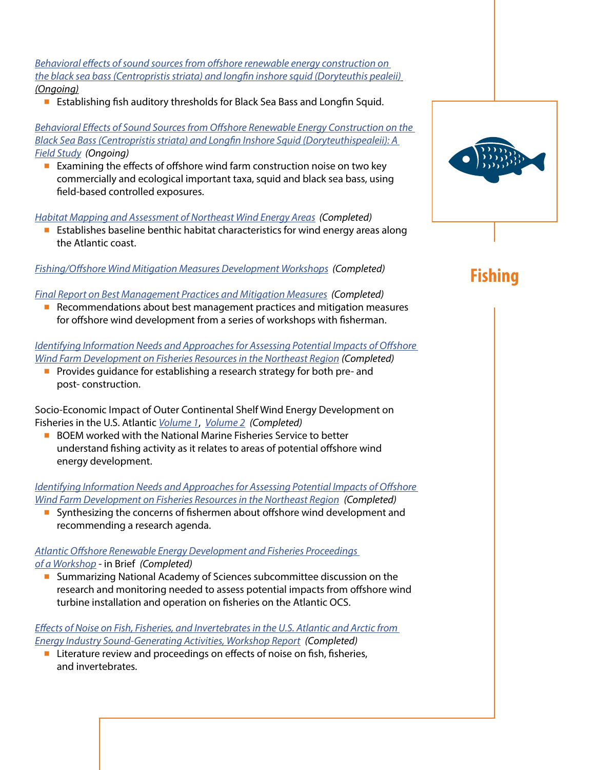*[Behavioral effects of sound sources from offshore renewable energy construction on](https://www.boem.gov/sites/default/files/documents/about-boem/AT-17-02.pdf)  [the black sea bass \(Centropristis striata\) and longfin inshore squid \(Doryteuthis pealeii\)](https://www.boem.gov/sites/default/files/documents/about-boem/AT-17-02.pdf) (Ongoing)*

■ Establishing fish auditory thresholds for Black Sea Bass and Longfin Squid.

*[Behavioral Effects of Sound Sources from Offshore Renewable Energy Construction on the](https://www.boem.gov/sites/default/files/documents/environment/environmental-studies/AT%2020-01.pdf)  [Black Sea Bass \(Centropristis striata\) and Longfin Inshore Squid \(Doryteuthispealeii\): A](https://www.boem.gov/sites/default/files/documents/environment/environmental-studies/AT%2020-01.pdf)  [Field Study](https://www.boem.gov/sites/default/files/documents/environment/environmental-studies/AT%2020-01.pdf) (Ongoing)*

■ Examining the effects of offshore wind farm construction noise on two key commercially and ecological important taxa, squid and black sea bass, using field-based controlled exposures.

*[Habitat Mapping and Assessment of Northeast Wind Energy Areas](https://espis.boem.gov/final%20reports/5647.pdf) (Completed)*

■ Establishes baseline benthic habitat characteristics for wind energy areas along the Atlantic coast.

*[Fishing/Offshore Wind Mitigation Measures Development Workshops](https://www.boem.gov/renewable-energy/fishingoffshore-wind-mitigation-measures-development-workshops) (Completed)*

#### *[Final Report on Best Management Practices and Mitigation Measures](https://www.boem.gov/sites/default/files/renewable-energy-program/Fishing-BMP-Final-Report-July-2014.pdf) (Completed)*

■ Recommendations about best management practices and mitigation measures for offshore wind development from a series of workshops with fisherman.

*[Identifying Information Needs and Approaches for Assessing Potential Impacts of Offshore](https://www.boem.gov/sites/default/files/environmental-stewardship/Environmental-Studies/Renewable-Energy/OCS-Study-BOEM-2015-037.pdf)  [Wind Farm Development on Fisheries Resources in the Northeast Region](https://www.boem.gov/sites/default/files/environmental-stewardship/Environmental-Studies/Renewable-Energy/OCS-Study-BOEM-2015-037.pdf) (Completed)*

■ Provides guidance for establishing a research strategy for both pre- and post- construction.

Socio-Economic Impact of Outer Continental Shelf Wind Energy Development on Fisheries in the U.S. Atlantic *[Volume 1](https://espis.boem.gov/final%20reports/5580.pdf)*, *[Volume 2](https://espis.boem.gov/final%20reports/5581.pdf) (Completed)*

■ BOEM worked with the National Marine Fisheries Service to better understand fishing activity as it relates to areas of potential offshore wind energy development.

*Identifying Information Needs and Approaches for Assessing Potential Impacts of Offshore Wind Farm Development on Fisheries Resources in the Northeast Region (Completed)*

■ Synthesizing the concerns of fishermen about offshore wind development and recommending a research agenda.

### *[Atlantic Offshore Renewable Energy Development and Fisheries Proceedings](https://nap.nationalacademies.org/read/25062/chapter/1)  [of a Workshop](https://nap.nationalacademies.org/read/25062/chapter/1)* - in Brief *(Completed)*

■ Summarizing National Academy of Sciences subcommittee discussion on the research and monitoring needed to assess potential impacts from offshore wind turbine installation and operation on fisheries on the Atlantic OCS.

*[Effects of Noise on Fish, Fisheries, and Invertebrates in the U.S. Atlantic and Arctic from](https://espis.boem.gov/final%20reports/5361.pdf)  [Energy Industry Sound-Generating Activities, Workshop Report](https://espis.boem.gov/final%20reports/5361.pdf) (Completed)*

■ Literature review and proceedings on effects of noise on fish, fisheries, and invertebrates.



# **Fishing**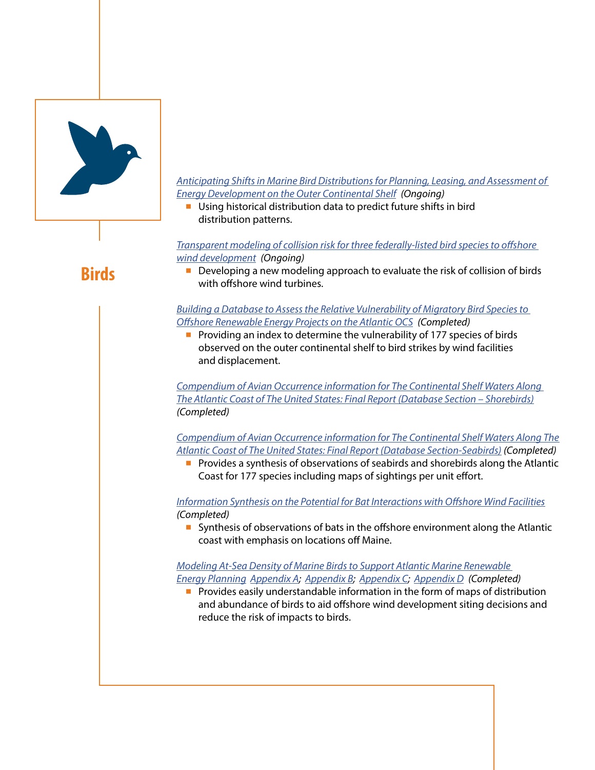

#### *[Anticipating Shifts in Marine Bird Distributions for Planning, Leasing, and Assessment of](https://www.boem.gov/sites/default/files/documents/environment/Anticipating-Shifts-Marine-Bird-Distributions.pdf)  [Energy Development on the Outer Continental Shelf](https://www.boem.gov/sites/default/files/documents/environment/Anticipating-Shifts-Marine-Bird-Distributions.pdf) (Ongoing)*

■ Using historical distribution data to predict future shifts in bird distribution patterns.

*[Transparent modeling of collision risk for three federally-listed bird species to offshore](https://www.boem.gov/sites/default/files/documents/environment/environmental-studies/AT-21-07.pdf)  [wind development](https://www.boem.gov/sites/default/files/documents/environment/environmental-studies/AT-21-07.pdf) (Ongoing)*

■ Developing a new modeling approach to evaluate the risk of collision of birds with offshore wind turbines.

### *[Building a Database to Assess the Relative Vulnerability of Migratory Bird Species to](https://espis.boem.gov/final%20reports/5319.pdf)  [Offshore Renewable Energy Projects on the Atlantic OCS](https://espis.boem.gov/final%20reports/5319.pdf) (Completed)*

■ Providing an index to determine the vulnerability of 177 species of birds observed on the outer continental shelf to bird strikes by wind facilities and displacement.

*[Compendium of Avian Occurrence information for The Continental Shelf Waters Along](https://espis.boem.gov/final%20reports/5193.pdf)  [The Atlantic Coast of The United States: Final Report \(Database Section – Shorebirds\)](https://espis.boem.gov/final%20reports/5193.pdf) (Completed)*

*[Compendium of Avian Occurrence information for The Continental Shelf Waters Along The](https://espis.boem.gov/final%20reports/5209.pdf)  [Atlantic Coast of The United States: Final Report \(Database Section-Seabirds\)](https://espis.boem.gov/final%20reports/5209.pdf) (Completed)*

■ Provides a synthesis of observations of seabirds and shorebirds along the Atlantic Coast for 177 species including maps of sightings per unit effort.

*[Information Synthesis on the Potential for Bat Interactions with Offshore Wind Facilities](https://espis.boem.gov/final%20reports/5289.pdf) (Completed)*

■ Synthesis of observations of bats in the offshore environment along the Atlantic coast with emphasis on locations off Maine.

# *[Modeling At-Sea Density of Marine Birds to Support Atlantic Marine Renewable](https://espis.boem.gov/final%20reports/BOEM_2018-010.pdf)  [Energy Planning](https://espis.boem.gov/final%20reports/BOEM_2018-010.pdf) [Appendix A;](https://www.boem.gov/sites/default/files/environmental-stewardship/Environmental-Studies/Renewable-Energy/AppendixA.pdf) [Appendix B;](https://www.boem.gov/sites/default/files/environmental-stewardship/Environmental-Studies/Renewable-Energy/AppendixB.pdf) [Appendix C;](https://www.boem.gov/sites/default/files/environmental-stewardship/Environmental-Studies/Renewable-Energy/AppendixC.pdf) [Appendix D](https://www.boem.gov/sites/default/files/environmental-stewardship/Environmental-Studies/Renewable-Energy/AppendixD.pdf) (Completed)*

■ Provides easily understandable information in the form of maps of distribution and abundance of birds to aid offshore wind development siting decisions and reduce the risk of impacts to birds.

# **Birds**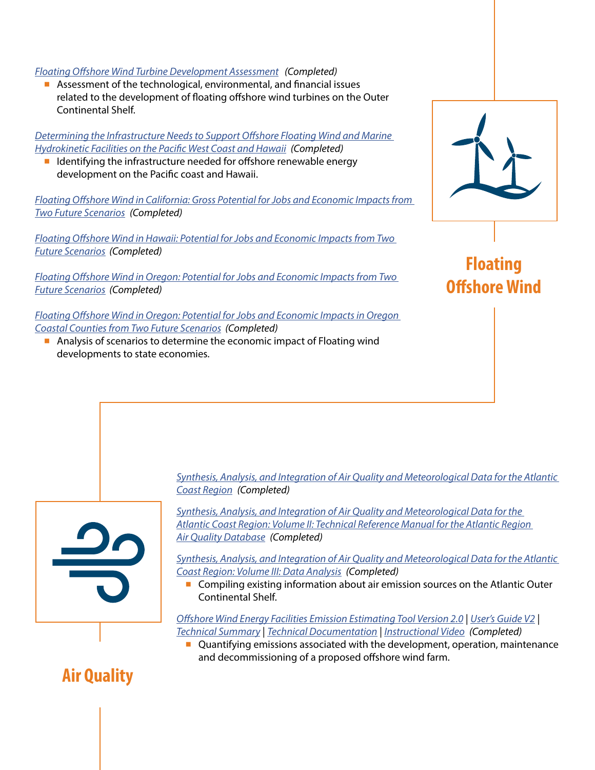#### *[Floating Offshore Wind Turbine Development Assessment](https://www.boem.gov/sites/default/files/documents/renewable-energy/studies/Study-Number-Deliverable-4-Final-Report-Technical-Summary.pdf) (Completed)*

■ Assessment of the technological, environmental, and financial issues related to the development of floating offshore wind turbines on the Outer Continental Shelf.

*[Determining the Infrastructure Needs to Support Offshore Floating Wind and Marine](https://espis.boem.gov/final%20reports/5503.pdf)  [Hydrokinetic Facilities on the Pacific West Coast and Hawaii](https://espis.boem.gov/final%20reports/5503.pdf) (Completed)*

■ Identifying the infrastructure needed for offshore renewable energy development on the Pacific coast and Hawaii.

*[Floating Offshore Wind in California: Gross Potential for Jobs and Economic Impacts from](https://www.boem.gov/sites/default/files/environmental-stewardship/Environmental-Studies/Pacific-Region/Studies/BOEM-2016-029.pdf)  [Two Future Scenarios](https://www.boem.gov/sites/default/files/environmental-stewardship/Environmental-Studies/Pacific-Region/Studies/BOEM-2016-029.pdf) (Completed)*

*[Floating Offshore Wind in Hawaii: Potential for Jobs and Economic Impacts from Two](https://www.boem.gov/sites/default/files/environmental-stewardship/Environmental-Studies/Pacific-Region/Studies/2016-032.pdf)  [Future Scenarios](https://www.boem.gov/sites/default/files/environmental-stewardship/Environmental-Studies/Pacific-Region/Studies/2016-032.pdf) (Completed)*

*[Floating Offshore Wind in Oregon: Potential for Jobs and Economic Impacts from Two](https://www.boem.gov/sites/default/files/environmental-stewardship/Environmental-Studies/Pacific-Region/Studies/BOEM-2016-030.pdf)  [Future Scenarios](https://www.boem.gov/sites/default/files/environmental-stewardship/Environmental-Studies/Pacific-Region/Studies/BOEM-2016-030.pdf) (Completed)*

*[Floating Offshore Wind in Oregon: Potential for Jobs and Economic Impacts in Oregon](https://www.boem.gov/sites/default/files/environmental-stewardship/Environmental-Studies/Pacific-Region/Studies/2016-031.pdf)  [Coastal Counties from Two Future Scenarios](https://www.boem.gov/sites/default/files/environmental-stewardship/Environmental-Studies/Pacific-Region/Studies/2016-031.pdf) (Completed)*

■ Analysis of scenarios to determine the economic impact of Floating wind developments to state economies.



**Floating Offshore Wind**

*[Synthesis, Analysis, and Integration of Air Quality and Meteorological Data for the Atlantic](https://espis.boem.gov/final%20reports/5369.pdf)  [Coast Region](https://espis.boem.gov/final%20reports/5369.pdf) (Completed)*

*[Synthesis, Analysis, and Integration of Air Quality and Meteorological Data for the](https://espis.boem.gov/final%20reports/5370.pdf)  [Atlantic Coast Region: Volume II: Technical Reference Manual for the Atlantic Region](https://espis.boem.gov/final%20reports/5370.pdf)  [Air Quality Database](https://espis.boem.gov/final%20reports/5370.pdf) (Completed)*

*[Synthesis, Analysis, and Integration of Air Quality and Meteorological Data for the Atlantic](https://espis.boem.gov/final%20reports/5371.pdf)  [Coast Region: Volume III: Data Analysis](https://espis.boem.gov/final%20reports/5371.pdf) (Completed)*

■ Compiling existing information about air emission sources on the Atlantic Outer Continental Shelf.

*[Offshore Wind Energy Facilities Emission Estimating Tool Version 2.0](https://www.boem.gov/Wind-EneryTool/)* | *[User's Guide V2](https://www.boem.gov/sites/default/files/documents/about-boem/BOEM-Wind-Power-User-Guide-V2.pdf)* | *[Technical Summary](https://www.boem.gov/sites/default/files/renewable-energy-program/BOEM-Wind-Power-Technical-Summary_2017_079.pdf)* | *[Technical Documentation](https://www.boem.gov/sites/default/files/renewable-energy-program/BOEM-Wind-Power-Technical-Documentation_2017_079-%281%29.pdf)* | *[Instructional Video](https://www.youtube.com/watch?v=Wdxdb1Drfz0) (Completed)*

■ Quantifying emissions associated with the development, operation, maintenance and decommissioning of a proposed offshore wind farm.

# **Air Quality**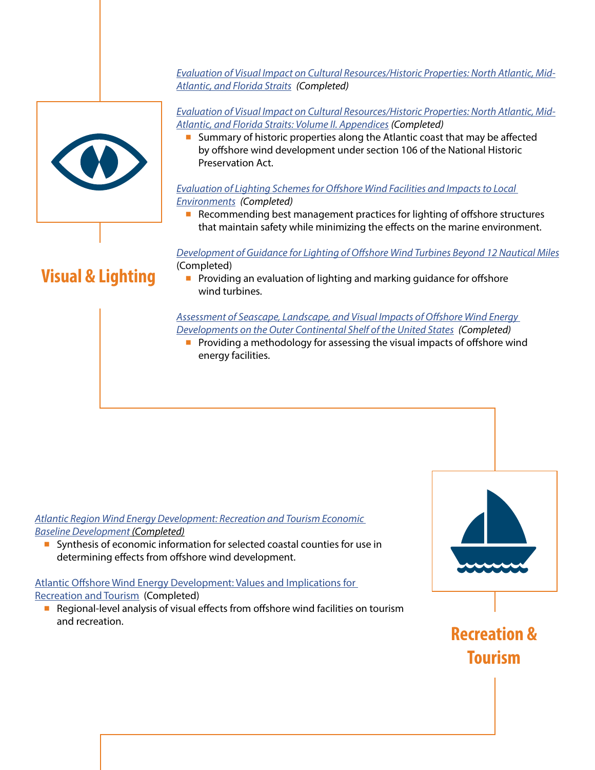*[Evaluation of Visual Impact on Cultural Resources/Historic Properties: North Atlantic, Mid-](https://espis.boem.gov/final%20reports/5249.pdf)[Atlantic, and Florida Straits](https://espis.boem.gov/final%20reports/5249.pdf) (Completed)*



*[Evaluation of Visual Impact on Cultural Resources/Historic Properties: North Atlantic, Mid-](https://espis.boem.gov/final%20reports/5250.pdf)[Atlantic, and Florida Straits: Volume II. Appendices](https://espis.boem.gov/final%20reports/5250.pdf) (Completed)*

■ Summary of historic properties along the Atlantic coast that may be affected by offshore wind development under section 106 of the National Historic Preservation Act.

## *[Evaluation of Lighting Schemes for Offshore Wind Facilities and Impacts to Local](https://espis.boem.gov/final%20reports/5298.pdf)  [Environments](https://espis.boem.gov/final%20reports/5298.pdf) (Completed)*

■ Recommending best management practices for lighting of offshore structures that maintain safety while minimizing the effects on the marine environment.

*[Development of Guidance for Lighting of Offshore Wind Turbines Beyond 12 Nautical Miles](https://www.boem.gov/sites/default/files/environmental-stewardship/Environmental-Studies/Renewable-Energy/Offshore-Lighting-Guidance.pdf)* (Completed)

- **Visual & Lighting**
- Providing an evaluation of lighting and marking guidance for offshore wind turbines.

*[Assessment of Seascape, Landscape, and Visual Impacts of Offshore Wind Energy](https://www.boem.gov/sites/default/files/documents/environment/environmental-studies/BOEM-2021-032.pdf)  [Developments on the Outer Continental Shelf of the United States](https://www.boem.gov/sites/default/files/documents/environment/environmental-studies/BOEM-2021-032.pdf) (Completed)*

■ Providing a methodology for assessing the visual impacts of offshore wind energy facilities.

*[Atlantic Region Wind Energy Development: Recreation and Tourism Economic](https://espis.boem.gov/final%20reports/5228.pdf)  [Baseline Development](https://espis.boem.gov/final%20reports/5228.pdf) (Completed)*

■ Synthesis of economic information for selected coastal counties for use in determining effects from offshore wind development.

# [Atlantic Offshore Wind Energy Development: Values and Implications for](https://espis.boem.gov/final%20reports/5662.pdf)  **[Recreation and Tourism](https://espis.boem.gov/final%20reports/5662.pdf) (Completed)**

■ Regional-level analysis of visual effects from offshore wind facilities on tourism and recreation.



**Recreation & Tourism**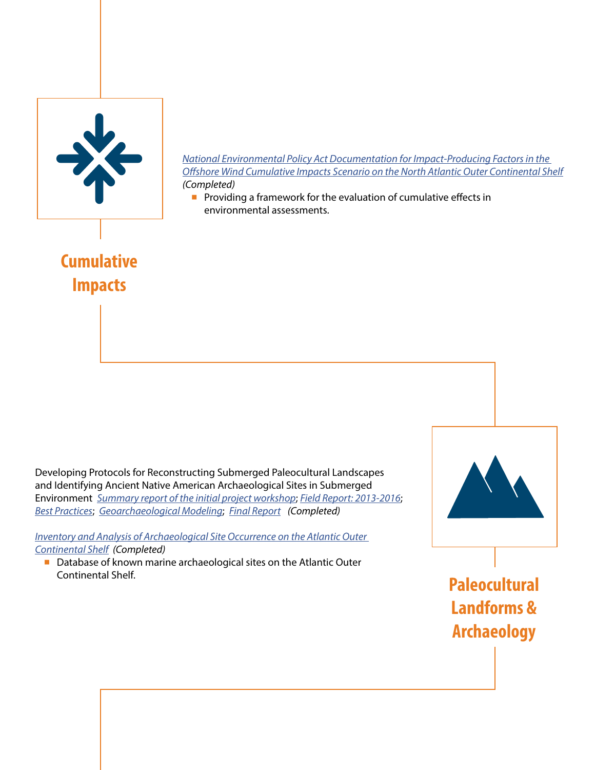

*[National Environmental Policy Act Documentation for Impact-Producing Factors in the](https://www.boem.gov/sites/default/files/environmental-stewardship/Environmental-Studies/Renewable-Energy/IPFs-in-the-Offshore-Wind-Cumulative-Impacts-Scenario-on-the-N-OCS.pdf)  [Offshore Wind Cumulative Impacts Scenario on the North Atlantic Outer Continental Shelf](https://www.boem.gov/sites/default/files/environmental-stewardship/Environmental-Studies/Renewable-Energy/IPFs-in-the-Offshore-Wind-Cumulative-Impacts-Scenario-on-the-N-OCS.pdf) (Completed)*

■ Providing a framework for the evaluation of cumulative effects in environmental assessments.

**Cumulative Impacts**

Developing Protocols for Reconstructing Submerged Paleocultural Landscapes and Identifying Ancient Native American Archaeological Sites in Submerged Environment *[Summary report of the initial project workshop](https://espis.boem.gov/final%20reports/5490.pdf)*; *[Field Report: 2013-2016](https://espis.boem.gov/final%20reports/BOEM_2018-056.pdf)*; *[Best Practices](https://espis.boem.gov/final%20reports/BOEM_2018-055.pdf)*; *[Geoarchaeological Modeling](https://espis.boem.gov/final%20reports/BOEM_2020-024.pdf)*; *[Final Report](https://espis.boem.gov/final%20reports/BOEM_2020-023.pdf) (Completed)*

*[Inventory and Analysis of Archaeological Site Occurrence on the Atlantic Outer](https://espis.boem.gov/final%20reports/5196.pdf)  [Continental Shelf](https://espis.boem.gov/final%20reports/5196.pdf) (Completed)*

■ Database of known marine archaeological sites on the Atlantic Outer Continental Shelf.



**Paleocultural Landforms & Archaeology**